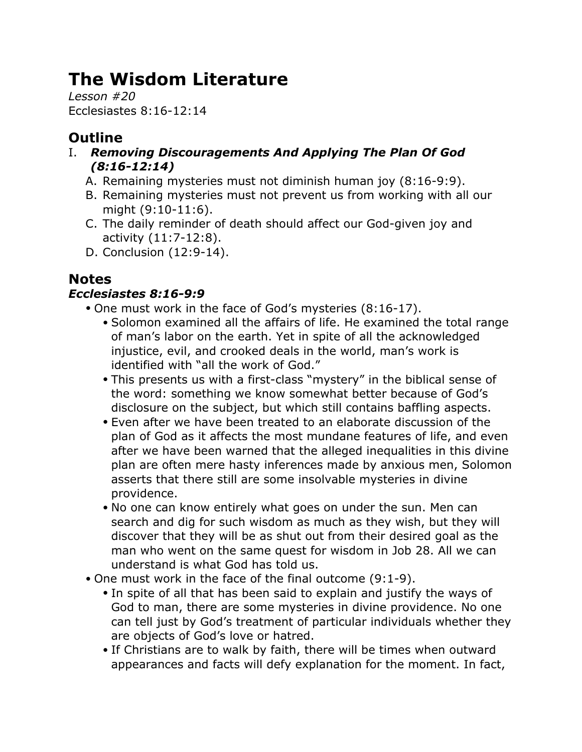# **The Wisdom Literature**

*Lesson #20* Ecclesiastes 8:16-12:14

# **Outline**

- I. *Removing Discouragements And Applying The Plan Of God (8:16-12:14)*
	- A. Remaining mysteries must not diminish human joy (8:16-9:9).
	- B. Remaining mysteries must not prevent us from working with all our might (9:10-11:6).
	- C. The daily reminder of death should affect our God-given joy and activity (11:7-12:8).
	- D. Conclusion (12:9-14).

# **Notes**

## *Ecclesiastes 8:16-9:9*

- One must work in the face of God's mysteries (8:16-17).
	- Solomon examined all the affairs of life. He examined the total range of man's labor on the earth. Yet in spite of all the acknowledged injustice, evil, and crooked deals in the world, man's work is identified with "all the work of God."
	- This presents us with a first-class "mystery" in the biblical sense of the word: something we know somewhat better because of God's disclosure on the subject, but which still contains baffling aspects.
	- Even after we have been treated to an elaborate discussion of the plan of God as it affects the most mundane features of life, and even after we have been warned that the alleged inequalities in this divine plan are often mere hasty inferences made by anxious men, Solomon asserts that there still are some insolvable mysteries in divine providence.
	- No one can know entirely what goes on under the sun. Men can search and dig for such wisdom as much as they wish, but they will discover that they will be as shut out from their desired goal as the man who went on the same quest for wisdom in Job 28. All we can understand is what God has told us.
- One must work in the face of the final outcome (9:1-9).
	- In spite of all that has been said to explain and justify the ways of God to man, there are some mysteries in divine providence. No one can tell just by God's treatment of particular individuals whether they are objects of God's love or hatred.
	- If Christians are to walk by faith, there will be times when outward appearances and facts will defy explanation for the moment. In fact,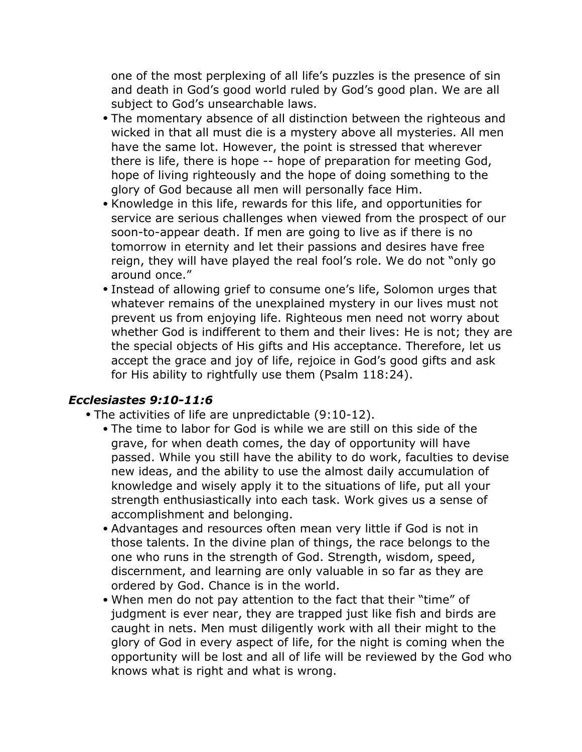one of the most perplexing of all life's puzzles is the presence of sin and death in God's good world ruled by God's good plan. We are all subject to God's unsearchable laws.

- The momentary absence of all distinction between the righteous and wicked in that all must die is a mystery above all mysteries. All men have the same lot. However, the point is stressed that wherever there is life, there is hope -- hope of preparation for meeting God, hope of living righteously and the hope of doing something to the glory of God because all men will personally face Him.
- Knowledge in this life, rewards for this life, and opportunities for service are serious challenges when viewed from the prospect of our soon-to-appear death. If men are going to live as if there is no tomorrow in eternity and let their passions and desires have free reign, they will have played the real fool's role. We do not "only go around once."
- Instead of allowing grief to consume one's life, Solomon urges that whatever remains of the unexplained mystery in our lives must not prevent us from enjoying life. Righteous men need not worry about whether God is indifferent to them and their lives: He is not; they are the special objects of His gifts and His acceptance. Therefore, let us accept the grace and joy of life, rejoice in God's good gifts and ask for His ability to rightfully use them (Psalm 118:24).

#### *Ecclesiastes 9:10-11:6*

- The activities of life are unpredictable (9:10-12).
	- The time to labor for God is while we are still on this side of the grave, for when death comes, the day of opportunity will have passed. While you still have the ability to do work, faculties to devise new ideas, and the ability to use the almost daily accumulation of knowledge and wisely apply it to the situations of life, put all your strength enthusiastically into each task. Work gives us a sense of accomplishment and belonging.
	- Advantages and resources often mean very little if God is not in those talents. In the divine plan of things, the race belongs to the one who runs in the strength of God. Strength, wisdom, speed, discernment, and learning are only valuable in so far as they are ordered by God. Chance is in the world.
	- When men do not pay attention to the fact that their "time" of judgment is ever near, they are trapped just like fish and birds are caught in nets. Men must diligently work with all their might to the glory of God in every aspect of life, for the night is coming when the opportunity will be lost and all of life will be reviewed by the God who knows what is right and what is wrong.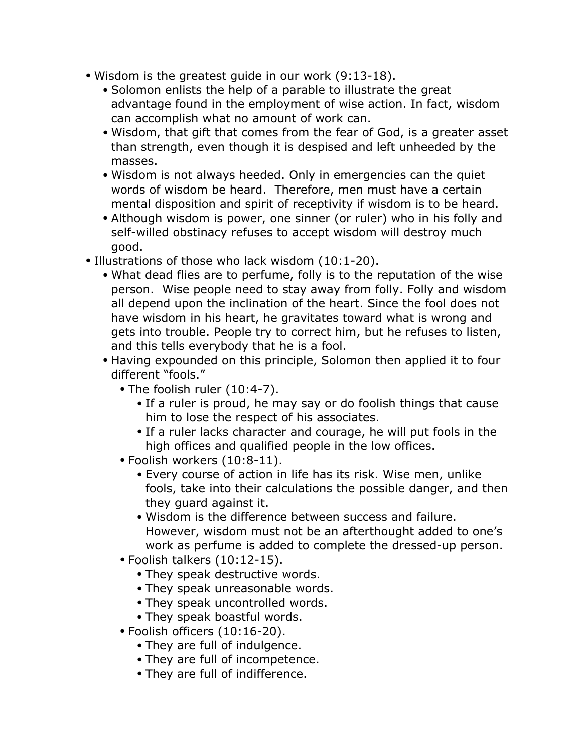- Wisdom is the greatest guide in our work (9:13-18).
	- Solomon enlists the help of a parable to illustrate the great advantage found in the employment of wise action. In fact, wisdom can accomplish what no amount of work can.
	- Wisdom, that gift that comes from the fear of God, is a greater asset than strength, even though it is despised and left unheeded by the masses.
	- Wisdom is not always heeded. Only in emergencies can the quiet words of wisdom be heard. Therefore, men must have a certain mental disposition and spirit of receptivity if wisdom is to be heard.
	- Although wisdom is power, one sinner (or ruler) who in his folly and self-willed obstinacy refuses to accept wisdom will destroy much good.
- Illustrations of those who lack wisdom (10:1-20).
	- What dead flies are to perfume, folly is to the reputation of the wise person. Wise people need to stay away from folly. Folly and wisdom all depend upon the inclination of the heart. Since the fool does not have wisdom in his heart, he gravitates toward what is wrong and gets into trouble. People try to correct him, but he refuses to listen, and this tells everybody that he is a fool.
	- Having expounded on this principle, Solomon then applied it to four different "fools."
		- The foolish ruler (10:4-7).
			- If a ruler is proud, he may say or do foolish things that cause him to lose the respect of his associates.
			- If a ruler lacks character and courage, he will put fools in the high offices and qualified people in the low offices.
		- Foolish workers (10:8-11).
			- Every course of action in life has its risk. Wise men, unlike fools, take into their calculations the possible danger, and then they guard against it.
			- Wisdom is the difference between success and failure. However, wisdom must not be an afterthought added to one's work as perfume is added to complete the dressed-up person.
		- Foolish talkers (10:12-15).
			- They speak destructive words.
			- They speak unreasonable words.
			- They speak uncontrolled words.
			- They speak boastful words.
		- Foolish officers (10:16-20).
			- They are full of indulgence.
			- They are full of incompetence.
			- They are full of indifference.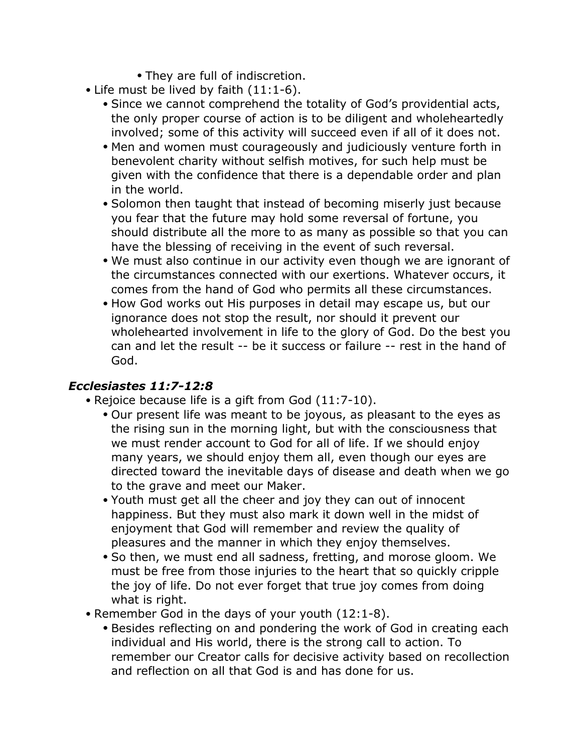- They are full of indiscretion.
- Life must be lived by faith (11:1-6).
	- Since we cannot comprehend the totality of God's providential acts, the only proper course of action is to be diligent and wholeheartedly involved; some of this activity will succeed even if all of it does not.
	- Men and women must courageously and judiciously venture forth in benevolent charity without selfish motives, for such help must be given with the confidence that there is a dependable order and plan in the world.
	- Solomon then taught that instead of becoming miserly just because you fear that the future may hold some reversal of fortune, you should distribute all the more to as many as possible so that you can have the blessing of receiving in the event of such reversal.
	- We must also continue in our activity even though we are ignorant of the circumstances connected with our exertions. Whatever occurs, it comes from the hand of God who permits all these circumstances.
	- How God works out His purposes in detail may escape us, but our ignorance does not stop the result, nor should it prevent our wholehearted involvement in life to the glory of God. Do the best you can and let the result -- be it success or failure -- rest in the hand of God.

### *Ecclesiastes 11:7-12:8*

- Rejoice because life is a gift from God (11:7-10).
	- Our present life was meant to be joyous, as pleasant to the eyes as the rising sun in the morning light, but with the consciousness that we must render account to God for all of life. If we should enjoy many years, we should enjoy them all, even though our eyes are directed toward the inevitable days of disease and death when we go to the grave and meet our Maker.
	- Youth must get all the cheer and joy they can out of innocent happiness. But they must also mark it down well in the midst of enjoyment that God will remember and review the quality of pleasures and the manner in which they enjoy themselves.
	- So then, we must end all sadness, fretting, and morose gloom. We must be free from those injuries to the heart that so quickly cripple the joy of life. Do not ever forget that true joy comes from doing what is right.
- Remember God in the days of your youth (12:1-8).
	- Besides reflecting on and pondering the work of God in creating each individual and His world, there is the strong call to action. To remember our Creator calls for decisive activity based on recollection and reflection on all that God is and has done for us.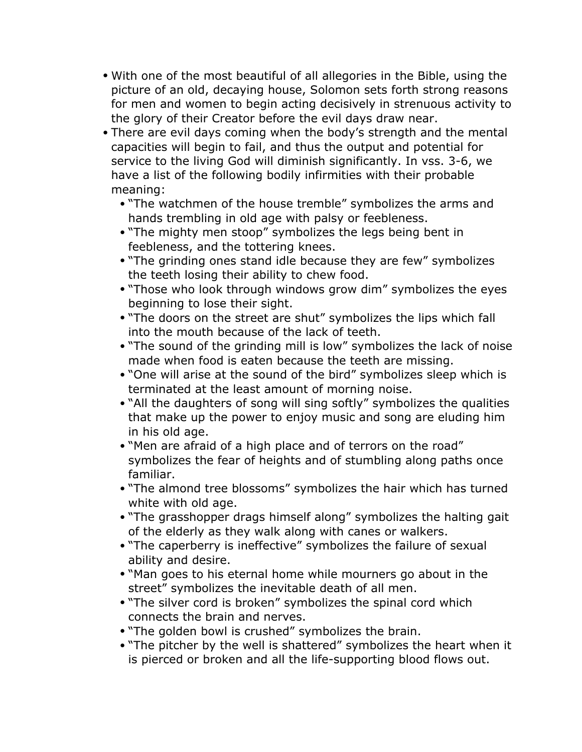- With one of the most beautiful of all allegories in the Bible, using the picture of an old, decaying house, Solomon sets forth strong reasons for men and women to begin acting decisively in strenuous activity to the glory of their Creator before the evil days draw near.
- There are evil days coming when the body's strength and the mental capacities will begin to fail, and thus the output and potential for service to the living God will diminish significantly. In vss. 3-6, we have a list of the following bodily infirmities with their probable meaning:
	- "The watchmen of the house tremble" symbolizes the arms and hands trembling in old age with palsy or feebleness.
	- "The mighty men stoop" symbolizes the legs being bent in feebleness, and the tottering knees.
	- "The grinding ones stand idle because they are few" symbolizes the teeth losing their ability to chew food.
	- "Those who look through windows grow dim" symbolizes the eyes beginning to lose their sight.
	- "The doors on the street are shut" symbolizes the lips which fall into the mouth because of the lack of teeth.
	- "The sound of the grinding mill is low" symbolizes the lack of noise made when food is eaten because the teeth are missing.
	- "One will arise at the sound of the bird" symbolizes sleep which is terminated at the least amount of morning noise.
	- "All the daughters of song will sing softly" symbolizes the qualities that make up the power to enjoy music and song are eluding him in his old age.
	- "Men are afraid of a high place and of terrors on the road" symbolizes the fear of heights and of stumbling along paths once familiar.
	- "The almond tree blossoms" symbolizes the hair which has turned white with old age.
	- "The grasshopper drags himself along" symbolizes the halting gait of the elderly as they walk along with canes or walkers.
	- "The caperberry is ineffective" symbolizes the failure of sexual ability and desire.
	- "Man goes to his eternal home while mourners go about in the street" symbolizes the inevitable death of all men.
	- "The silver cord is broken" symbolizes the spinal cord which connects the brain and nerves.
	- "The golden bowl is crushed" symbolizes the brain.
	- "The pitcher by the well is shattered" symbolizes the heart when it is pierced or broken and all the life-supporting blood flows out.